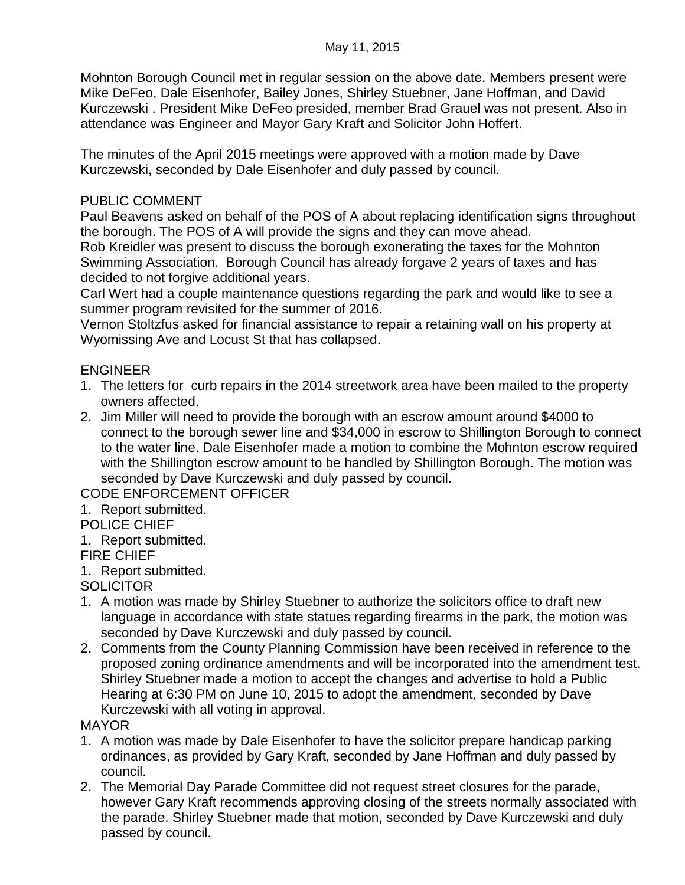Mohnton Borough Council met in regular session on the above date. Members present were Mike DeFeo, Dale Eisenhofer, Bailey Jones, Shirley Stuebner, Jane Hoffman, and David Kurczewski . President Mike DeFeo presided, member Brad Grauel was not present. Also in attendance was Engineer and Mayor Gary Kraft and Solicitor John Hoffert.

The minutes of the April 2015 meetings were approved with a motion made by Dave Kurczewski, seconded by Dale Eisenhofer and duly passed by council.

### PUBLIC COMMENT

Paul Beavens asked on behalf of the POS of A about replacing identification signs throughout the borough. The POS of A will provide the signs and they can move ahead.

Rob Kreidler was present to discuss the borough exonerating the taxes for the Mohnton Swimming Association. Borough Council has already forgave 2 years of taxes and has decided to not forgive additional years.

Carl Wert had a couple maintenance questions regarding the park and would like to see a summer program revisited for the summer of 2016.

Vernon Stoltzfus asked for financial assistance to repair a retaining wall on his property at Wyomissing Ave and Locust St that has collapsed.

## ENGINEER

- 1. The letters for curb repairs in the 2014 streetwork area have been mailed to the property owners affected.
- 2. Jim Miller will need to provide the borough with an escrow amount around \$4000 to connect to the borough sewer line and \$34,000 in escrow to Shillington Borough to connect to the water line. Dale Eisenhofer made a motion to combine the Mohnton escrow required with the Shillington escrow amount to be handled by Shillington Borough. The motion was seconded by Dave Kurczewski and duly passed by council.

CODE ENFORCEMENT OFFICER

- 1. Report submitted.
- POLICE CHIEF
- 1. Report submitted.
- FIRE CHIEF
- 1. Report submitted.

# **SOLICITOR**

- 1. A motion was made by Shirley Stuebner to authorize the solicitors office to draft new language in accordance with state statues regarding firearms in the park, the motion was seconded by Dave Kurczewski and duly passed by council.
- 2. Comments from the County Planning Commission have been received in reference to the proposed zoning ordinance amendments and will be incorporated into the amendment test. Shirley Stuebner made a motion to accept the changes and advertise to hold a Public Hearing at 6:30 PM on June 10, 2015 to adopt the amendment, seconded by Dave Kurczewski with all voting in approval.

#### MAYOR

- 1. A motion was made by Dale Eisenhofer to have the solicitor prepare handicap parking ordinances, as provided by Gary Kraft, seconded by Jane Hoffman and duly passed by council.
- 2. The Memorial Day Parade Committee did not request street closures for the parade, however Gary Kraft recommends approving closing of the streets normally associated with the parade. Shirley Stuebner made that motion, seconded by Dave Kurczewski and duly passed by council.